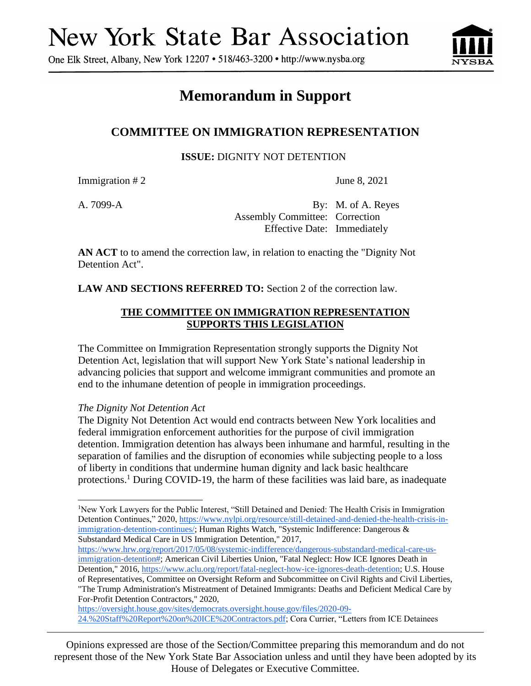One Elk Street, Albany, New York 12207 • 518/463-3200 • http://www.nysba.org



## **Memorandum in Support**

## **COMMITTEE ON IMMIGRATION REPRESENTATION**

**ISSUE:** DIGNITY NOT DETENTION

Immigration # 2 June 8, 2021

A. 7099-A By: M. of A. Reyes Assembly Committee: Correction Effective Date: Immediately

**AN ACT** to to amend the correction law, in relation to enacting the "Dignity Not Detention Act".

**LAW AND SECTIONS REFERRED TO:** Section 2 of the correction law.

## **THE COMMITTEE ON IMMIGRATION REPRESENTATION SUPPORTS THIS LEGISLATION**

The Committee on Immigration Representation strongly supports the Dignity Not Detention Act, legislation that will support New York State's national leadership in advancing policies that support and welcome immigrant communities and promote an end to the inhumane detention of people in immigration proceedings.

*The Dignity Not Detention Act*

The Dignity Not Detention Act would end contracts between New York localities and federal immigration enforcement authorities for the purpose of civil immigration detention. Immigration detention has always been inhumane and harmful, resulting in the separation of families and the disruption of economies while subjecting people to a loss of liberty in conditions that undermine human dignity and lack basic healthcare protections.<sup>1</sup> During COVID-19, the harm of these facilities was laid bare, as inadequate

[https://oversight.house.gov/sites/democrats.oversight.house.gov/files/2020-09-](https://oversight.house.gov/sites/democrats.oversight.house.gov/files/2020-09-24.%20Staff%20Report%20on%20ICE%20Contractors.pdf) [24.%20Staff%20Report%20on%20ICE%20Contractors.pdf;](https://oversight.house.gov/sites/democrats.oversight.house.gov/files/2020-09-24.%20Staff%20Report%20on%20ICE%20Contractors.pdf) Cora Currier, "Letters from ICE Detainees

Opinions expressed are those of the Section/Committee preparing this memorandum and do not represent those of the New York State Bar Association unless and until they have been adopted by its House of Delegates or Executive Committee.

<sup>1</sup>New York Lawyers for the Public Interest, "Still Detained and Denied: The Health Crisis in Immigration Detention Continues," 2020, [https://www.nylpi.org/resource/still-detained-and-denied-the-health-crisis-in](https://www.nylpi.org/resource/still-detained-and-denied-the-health-crisis-in-immigration-detention-continues/)[immigration-detention-continues/;](https://www.nylpi.org/resource/still-detained-and-denied-the-health-crisis-in-immigration-detention-continues/) Human Rights Watch, "Systemic Indifference: Dangerous & Substandard Medical Care in US Immigration Detention," 2017,

[https://www.hrw.org/report/2017/05/08/systemic-indifference/dangerous-substandard-medical-care-us](https://www.hrw.org/report/2017/05/08/systemic-indifference/dangerous-substandard-medical-care-us-immigration-detention)[immigration-detention#;](https://www.hrw.org/report/2017/05/08/systemic-indifference/dangerous-substandard-medical-care-us-immigration-detention) American Civil Liberties Union, "Fatal Neglect: How ICE Ignores Death in Detention," 2016[, https://www.aclu.org/report/fatal-neglect-how-ice-ignores-death-detention;](https://www.aclu.org/report/fatal-neglect-how-ice-ignores-death-detention) U.S. House of Representatives, Committee on Oversight Reform and Subcommittee on Civil Rights and Civil Liberties, "The Trump Administration's Mistreatment of Detained Immigrants: Deaths and Deficient Medical Care by For-Profit Detention Contractors," 2020,